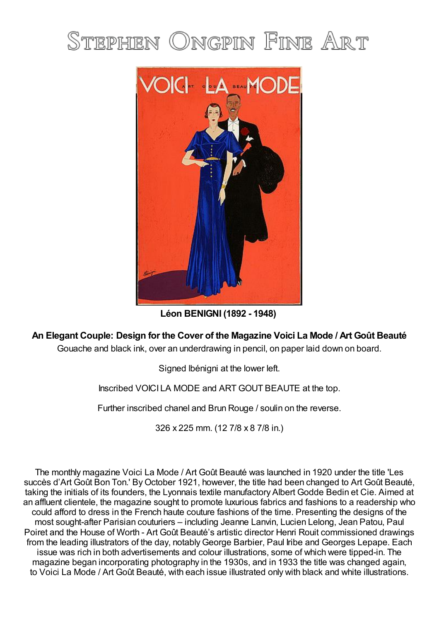## STEPHEN ONGPIN FINE ART



**Léon BENIGNI (1892 - 1948)**

**An Elegant Couple: Design for the Cover of the Magazine Voici La Mode / Art Goût Beauté**

Gouache and black ink, over an underdrawing in pencil, on paper laid down on board.

Signed lbénigni at the lower left.

Inscribed VOICI LA MODE and ART GOUT BEAUTE at the top.

Further inscribed chanel and Brun Rouge / soulin on the reverse.

326 x 225 mm. (12 7/8 x 8 7/8 in.)

The monthly magazine Voici La Mode / Art Goût Beauté was launched in 1920 under the title 'Les succès d'Art Goût Bon Ton.' By October 1921, however, the title had been changed to Art Goût Beauté, taking the initials of its founders, the Lyonnais textile manufactory Albert Godde Bedin et Cie. Aimed at an affluent clientele, the magazine sought to promote luxurious fabrics and fashions to a readership who could afford to dress in the French haute couture fashions of the time. Presenting the designs of the most sought-after Parisian couturiers – including Jeanne Lanvin, Lucien Lelong, Jean Patou, Paul Poiret and the House of Worth - Art Goût Beauté's artistic director Henri Rouit commissioned drawings from the leading illustrators of the day, notably George Barbier, Paul Iribe and Georges Lepape. Each issue was rich in both advertisements and colour illustrations, some of which were tipped-in. The magazine began incorporating photography in the 1930s, and in 1933 the title was changed again, to Voici La Mode / Art Goût Beauté, with each issue illustrated only with black and white illustrations.